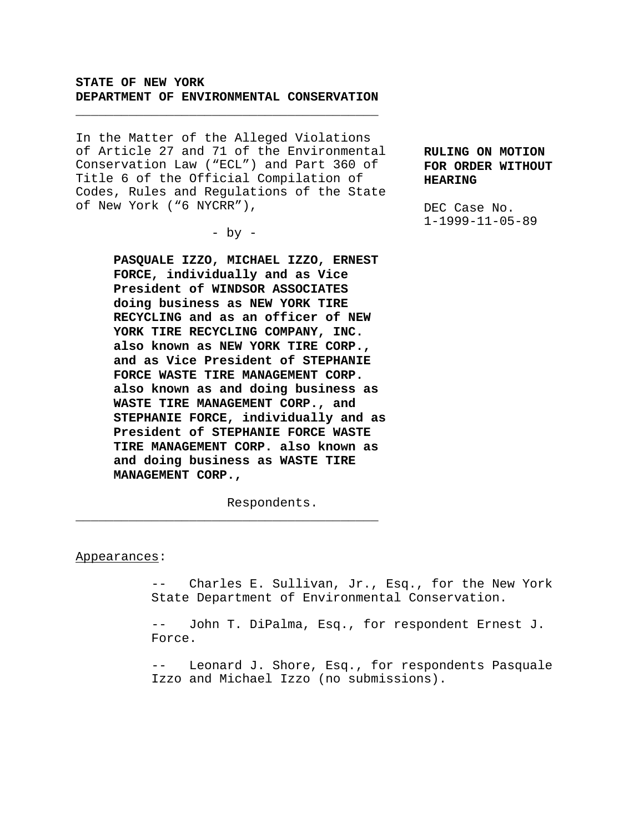# **STATE OF NEW YORK DEPARTMENT OF ENVIRONMENTAL CONSERVATION**

\_\_\_\_\_\_\_\_\_\_\_\_\_\_\_\_\_\_\_\_\_\_\_\_\_\_\_\_\_\_\_\_\_\_\_\_\_\_\_\_

In the Matter of the Alleged Violations of Article 27 and 71 of the Environmental Conservation Law ("ECL") and Part 360 of Title 6 of the Official Compilation of Codes, Rules and Regulations of the State of New York ("6 NYCRR"),

 $-$  by  $-$ 

**PASQUALE IZZO, MICHAEL IZZO, ERNEST FORCE, individually and as Vice President of WINDSOR ASSOCIATES doing business as NEW YORK TIRE RECYCLING and as an officer of NEW YORK TIRE RECYCLING COMPANY, INC. also known as NEW YORK TIRE CORP., and as Vice President of STEPHANIE FORCE WASTE TIRE MANAGEMENT CORP. also known as and doing business as WASTE TIRE MANAGEMENT CORP., and STEPHANIE FORCE, individually and as President of STEPHANIE FORCE WASTE TIRE MANAGEMENT CORP. also known as and doing business as WASTE TIRE MANAGEMENT CORP.,**

Respondents.

\_\_\_\_\_\_\_\_\_\_\_\_\_\_\_\_\_\_\_\_\_\_\_\_\_\_\_\_\_\_\_\_\_\_\_\_\_\_\_\_

#### Appearances:

-- Charles E. Sullivan, Jr., Esq., for the New York State Department of Environmental Conservation.

-- John T. DiPalma, Esq., for respondent Ernest J. Force.

-- Leonard J. Shore, Esq., for respondents Pasquale Izzo and Michael Izzo (no submissions).

**RULING ON MOTION FOR ORDER WITHOUT HEARING**

DEC Case No. 1-1999-11-05-89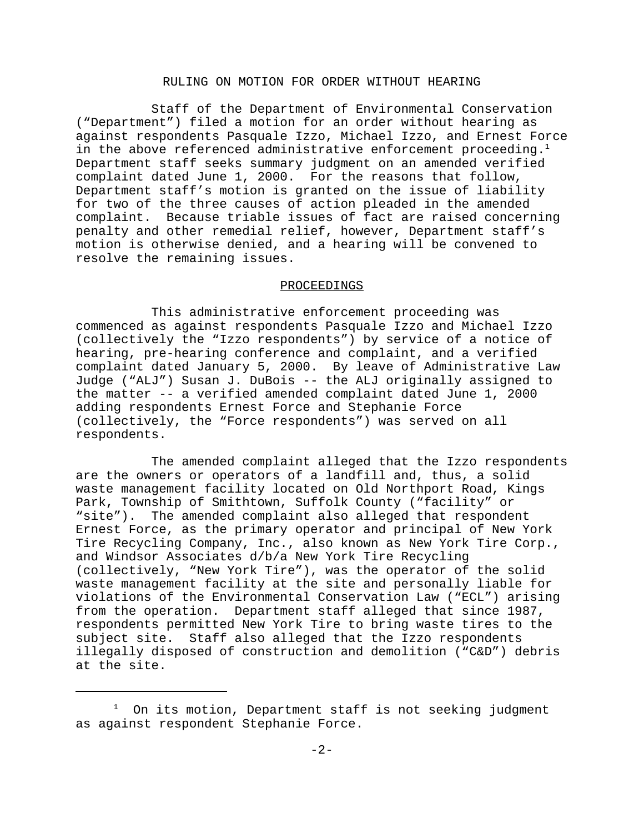### RULING ON MOTION FOR ORDER WITHOUT HEARING

Staff of the Department of Environmental Conservation ("Department") filed a motion for an order without hearing as against respondents Pasquale Izzo, Michael Izzo, and Ernest Force in the above referenced administrative enforcement proceeding.<sup>1</sup> Department staff seeks summary judgment on an amended verified complaint dated June 1, 2000. For the reasons that follow, Department staff's motion is granted on the issue of liability for two of the three causes of action pleaded in the amended complaint. Because triable issues of fact are raised concerning penalty and other remedial relief, however, Department staff's motion is otherwise denied, and a hearing will be convened to resolve the remaining issues.

### PROCEEDINGS

This administrative enforcement proceeding was commenced as against respondents Pasquale Izzo and Michael Izzo (collectively the "Izzo respondents") by service of a notice of hearing, pre-hearing conference and complaint, and a verified complaint dated January 5, 2000. By leave of Administrative Law Judge ("ALJ") Susan J. DuBois -- the ALJ originally assigned to the matter -- a verified amended complaint dated June 1, 2000 adding respondents Ernest Force and Stephanie Force (collectively, the "Force respondents") was served on all respondents.

The amended complaint alleged that the Izzo respondents are the owners or operators of a landfill and, thus, a solid waste management facility located on Old Northport Road, Kings Park, Township of Smithtown, Suffolk County ("facility" or "site"). The amended complaint also alleged that respondent Ernest Force, as the primary operator and principal of New York Tire Recycling Company, Inc., also known as New York Tire Corp., and Windsor Associates d/b/a New York Tire Recycling (collectively, "New York Tire"), was the operator of the solid waste management facility at the site and personally liable for violations of the Environmental Conservation Law ("ECL") arising from the operation. Department staff alleged that since 1987, respondents permitted New York Tire to bring waste tires to the subject site. Staff also alleged that the Izzo respondents illegally disposed of construction and demolition ("C&D") debris at the site.

<sup>1</sup> On its motion, Department staff is not seeking judgment as against respondent Stephanie Force.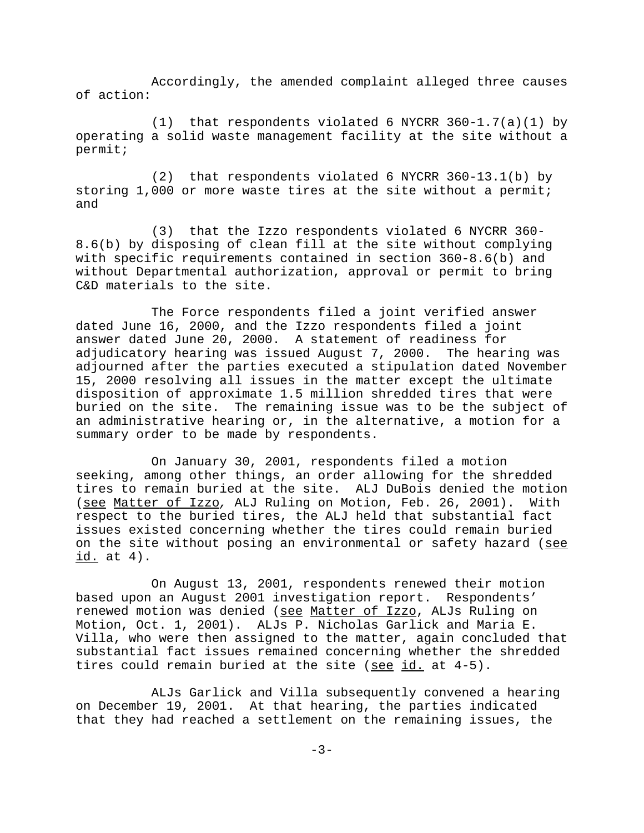Accordingly, the amended complaint alleged three causes of action:

(1) that respondents violated 6 NYCRR  $360-1.7(a)(1)$  by operating a solid waste management facility at the site without a permit;

(2) that respondents violated 6 NYCRR 360-13.1(b) by storing 1,000 or more waste tires at the site without a permit; and

(3) that the Izzo respondents violated 6 NYCRR 360- 8.6(b) by disposing of clean fill at the site without complying with specific requirements contained in section 360-8.6(b) and without Departmental authorization, approval or permit to bring C&D materials to the site.

The Force respondents filed a joint verified answer dated June 16, 2000, and the Izzo respondents filed a joint answer dated June 20, 2000. A statement of readiness for adjudicatory hearing was issued August 7, 2000. The hearing was adjourned after the parties executed a stipulation dated November 15, 2000 resolving all issues in the matter except the ultimate disposition of approximate 1.5 million shredded tires that were buried on the site. The remaining issue was to be the subject of an administrative hearing or, in the alternative, a motion for a summary order to be made by respondents.

On January 30, 2001, respondents filed a motion seeking, among other things, an order allowing for the shredded tires to remain buried at the site. ALJ DuBois denied the motion (see Matter of Izzo*,* ALJ Ruling on Motion, Feb. 26, 2001). With respect to the buried tires, the ALJ held that substantial fact issues existed concerning whether the tires could remain buried on the site without posing an environmental or safety hazard (see id. at 4).

On August 13, 2001, respondents renewed their motion based upon an August 2001 investigation report. Respondents' renewed motion was denied (see Matter of Izzo, ALJs Ruling on Motion, Oct. 1, 2001). ALJs P. Nicholas Garlick and Maria E. Villa, who were then assigned to the matter, again concluded that substantial fact issues remained concerning whether the shredded tires could remain buried at the site (see id. at 4-5).

ALJs Garlick and Villa subsequently convened a hearing on December 19, 2001. At that hearing, the parties indicated that they had reached a settlement on the remaining issues, the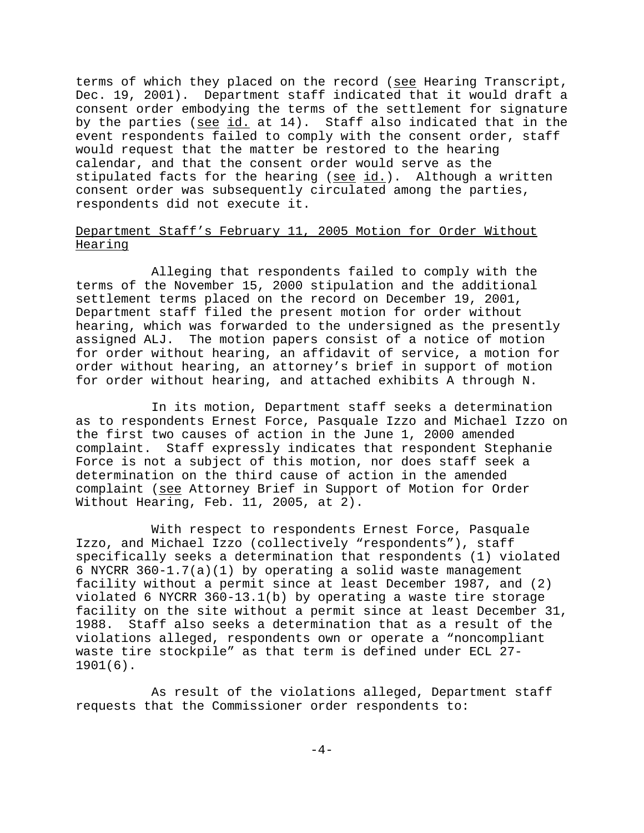terms of which they placed on the record (see Hearing Transcript, Dec. 19, 2001). Department staff indicated that it would draft a consent order embodying the terms of the settlement for signature by the parties (see id. at 14). Staff also indicated that in the event respondents failed to comply with the consent order, staff would request that the matter be restored to the hearing calendar, and that the consent order would serve as the stipulated facts for the hearing ( $\frac{\text{see} \text{id.}}{\text{and} \text{in}}$ ). Although a written consent order was subsequently circulated among the parties, respondents did not execute it.

# Department Staff's February 11, 2005 Motion for Order Without Hearing

Alleging that respondents failed to comply with the terms of the November 15, 2000 stipulation and the additional settlement terms placed on the record on December 19, 2001, Department staff filed the present motion for order without hearing, which was forwarded to the undersigned as the presently assigned ALJ. The motion papers consist of a notice of motion for order without hearing, an affidavit of service, a motion for order without hearing, an attorney's brief in support of motion for order without hearing, and attached exhibits A through N.

In its motion, Department staff seeks a determination as to respondents Ernest Force, Pasquale Izzo and Michael Izzo on the first two causes of action in the June 1, 2000 amended complaint. Staff expressly indicates that respondent Stephanie Force is not a subject of this motion, nor does staff seek a determination on the third cause of action in the amended complaint (see Attorney Brief in Support of Motion for Order Without Hearing, Feb. 11, 2005, at 2).

With respect to respondents Ernest Force, Pasquale Izzo, and Michael Izzo (collectively "respondents"), staff specifically seeks a determination that respondents (1) violated 6 NYCRR 360-1.7(a)(1) by operating a solid waste management facility without a permit since at least December 1987, and (2) violated 6 NYCRR 360-13.1(b) by operating a waste tire storage facility on the site without a permit since at least December 31, 1988. Staff also seeks a determination that as a result of the violations alleged, respondents own or operate a "noncompliant waste tire stockpile" as that term is defined under ECL 27- 1901(6).

 As result of the violations alleged, Department staff requests that the Commissioner order respondents to: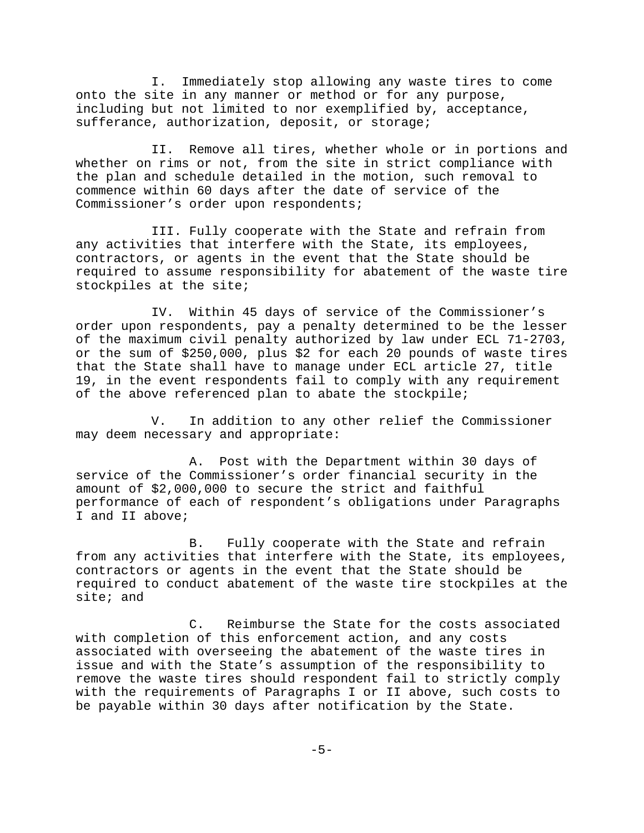I. Immediately stop allowing any waste tires to come onto the site in any manner or method or for any purpose, including but not limited to nor exemplified by, acceptance, sufferance, authorization, deposit, or storage;

II. Remove all tires, whether whole or in portions and whether on rims or not, from the site in strict compliance with the plan and schedule detailed in the motion, such removal to commence within 60 days after the date of service of the Commissioner's order upon respondents;

III. Fully cooperate with the State and refrain from any activities that interfere with the State, its employees, contractors, or agents in the event that the State should be required to assume responsibility for abatement of the waste tire stockpiles at the site;

IV. Within 45 days of service of the Commissioner's order upon respondents, pay a penalty determined to be the lesser of the maximum civil penalty authorized by law under ECL 71-2703, or the sum of \$250,000, plus \$2 for each 20 pounds of waste tires that the State shall have to manage under ECL article 27, title 19, in the event respondents fail to comply with any requirement of the above referenced plan to abate the stockpile;

V. In addition to any other relief the Commissioner may deem necessary and appropriate:

A. Post with the Department within 30 days of service of the Commissioner's order financial security in the amount of \$2,000,000 to secure the strict and faithful performance of each of respondent's obligations under Paragraphs I and II above;

B. Fully cooperate with the State and refrain from any activities that interfere with the State, its employees, contractors or agents in the event that the State should be required to conduct abatement of the waste tire stockpiles at the site; and

C. Reimburse the State for the costs associated with completion of this enforcement action, and any costs associated with overseeing the abatement of the waste tires in issue and with the State's assumption of the responsibility to remove the waste tires should respondent fail to strictly comply with the requirements of Paragraphs I or II above, such costs to be payable within 30 days after notification by the State.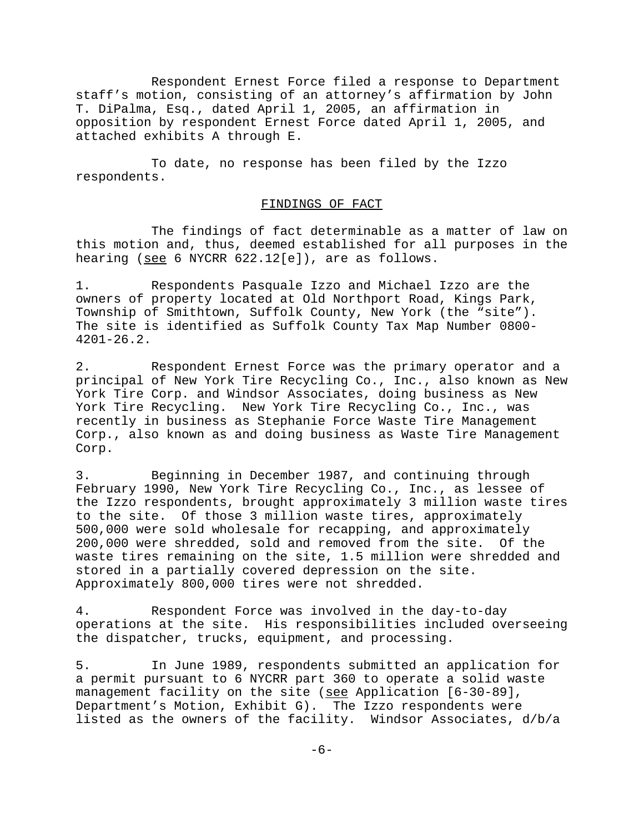Respondent Ernest Force filed a response to Department staff's motion, consisting of an attorney's affirmation by John T. DiPalma, Esq., dated April 1, 2005, an affirmation in opposition by respondent Ernest Force dated April 1, 2005, and attached exhibits A through E.

To date, no response has been filed by the Izzo respondents.

#### FINDINGS OF FACT

The findings of fact determinable as a matter of law on this motion and, thus, deemed established for all purposes in the hearing (see 6 NYCRR 622.12[e]), are as follows.

1. Respondents Pasquale Izzo and Michael Izzo are the owners of property located at Old Northport Road, Kings Park, Township of Smithtown, Suffolk County, New York (the "site"). The site is identified as Suffolk County Tax Map Number 0800- 4201-26.2.

2. Respondent Ernest Force was the primary operator and a principal of New York Tire Recycling Co., Inc., also known as New York Tire Corp. and Windsor Associates, doing business as New York Tire Recycling. New York Tire Recycling Co., Inc., was recently in business as Stephanie Force Waste Tire Management Corp., also known as and doing business as Waste Tire Management Corp.

3. Beginning in December 1987, and continuing through February 1990, New York Tire Recycling Co., Inc., as lessee of the Izzo respondents, brought approximately 3 million waste tires to the site. Of those 3 million waste tires, approximately 500,000 were sold wholesale for recapping, and approximately 200,000 were shredded, sold and removed from the site. Of the waste tires remaining on the site, 1.5 million were shredded and stored in a partially covered depression on the site. Approximately 800,000 tires were not shredded.

4. Respondent Force was involved in the day-to-day operations at the site. His responsibilities included overseeing the dispatcher, trucks, equipment, and processing.

5. In June 1989, respondents submitted an application for a permit pursuant to 6 NYCRR part 360 to operate a solid waste management facility on the site (see Application [6-30-89], Department's Motion, Exhibit G). The Izzo respondents were listed as the owners of the facility. Windsor Associates, d/b/a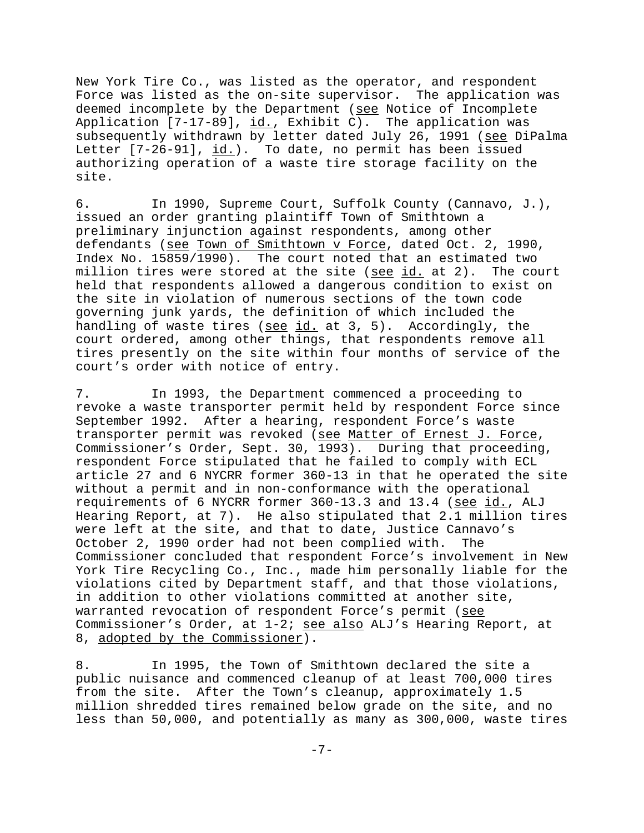New York Tire Co., was listed as the operator, and respondent Force was listed as the on-site supervisor. The application was deemed incomplete by the Department (see Notice of Incomplete Application [7-17-89], id., Exhibit C). The application was subsequently withdrawn by letter dated July 26, 1991 (see DiPalma Letter  $[7-26-91]$ ,  $\underline{id.}$ ). To date, no permit has been issued authorizing operation of a waste tire storage facility on the site.

6. In 1990, Supreme Court, Suffolk County (Cannavo, J.), issued an order granting plaintiff Town of Smithtown a preliminary injunction against respondents, among other defendants (see Town of Smithtown v Force, dated Oct. 2, 1990, Index No. 15859/1990). The court noted that an estimated two million tires were stored at the site (see id. at 2). The court held that respondents allowed a dangerous condition to exist on the site in violation of numerous sections of the town code governing junk yards, the definition of which included the handling of waste tires (see id. at 3, 5). Accordingly, the court ordered, among other things, that respondents remove all tires presently on the site within four months of service of the court's order with notice of entry.

7. In 1993, the Department commenced a proceeding to revoke a waste transporter permit held by respondent Force since September 1992. After a hearing, respondent Force's waste transporter permit was revoked (see Matter of Ernest J. Force, Commissioner's Order, Sept. 30, 1993). During that proceeding, respondent Force stipulated that he failed to comply with ECL article 27 and 6 NYCRR former 360-13 in that he operated the site without a permit and in non-conformance with the operational requirements of 6 NYCRR former 360-13.3 and 13.4 (see id., ALJ Hearing Report, at 7). He also stipulated that 2.1 million tires were left at the site, and that to date, Justice Cannavo's October 2, 1990 order had not been complied with. The Commissioner concluded that respondent Force's involvement in New York Tire Recycling Co., Inc., made him personally liable for the violations cited by Department staff, and that those violations, in addition to other violations committed at another site, warranted revocation of respondent Force's permit (see Commissioner's Order, at 1-2; see also ALJ's Hearing Report, at 8, adopted by the Commissioner).

8. In 1995, the Town of Smithtown declared the site a public nuisance and commenced cleanup of at least 700,000 tires from the site. After the Town's cleanup, approximately 1.5 million shredded tires remained below grade on the site, and no less than 50,000, and potentially as many as 300,000, waste tires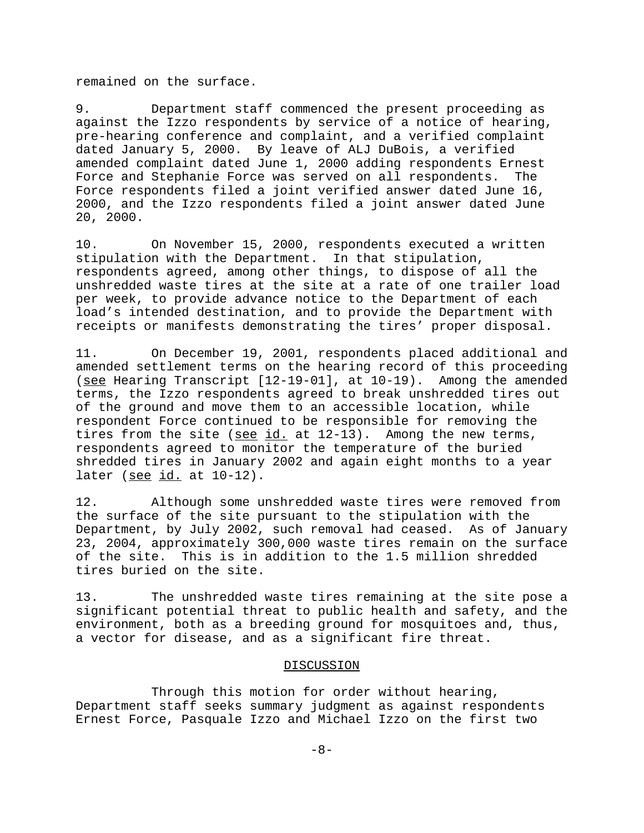remained on the surface.

9. Department staff commenced the present proceeding as against the Izzo respondents by service of a notice of hearing, pre-hearing conference and complaint, and a verified complaint dated January 5, 2000. By leave of ALJ DuBois, a verified amended complaint dated June 1, 2000 adding respondents Ernest Force and Stephanie Force was served on all respondents. The Force respondents filed a joint verified answer dated June 16, 2000, and the Izzo respondents filed a joint answer dated June 20, 2000.

10. On November 15, 2000, respondents executed a written stipulation with the Department. In that stipulation, respondents agreed, among other things, to dispose of all the unshredded waste tires at the site at a rate of one trailer load per week, to provide advance notice to the Department of each load's intended destination, and to provide the Department with receipts or manifests demonstrating the tires' proper disposal.

11. On December 19, 2001, respondents placed additional and amended settlement terms on the hearing record of this proceeding (see Hearing Transcript [12-19-01], at 10-19). Among the amended terms, the Izzo respondents agreed to break unshredded tires out of the ground and move them to an accessible location, while respondent Force continued to be responsible for removing the tires from the site (see id. at 12-13). Among the new terms, respondents agreed to monitor the temperature of the buried shredded tires in January 2002 and again eight months to a year later (see id. at 10-12).

12. Although some unshredded waste tires were removed from the surface of the site pursuant to the stipulation with the Department, by July 2002, such removal had ceased. As of January 23, 2004, approximately 300,000 waste tires remain on the surface of the site. This is in addition to the 1.5 million shredded tires buried on the site.

13. The unshredded waste tires remaining at the site pose a significant potential threat to public health and safety, and the environment, both as a breeding ground for mosquitoes and, thus, a vector for disease, and as a significant fire threat.

## DISCUSSION

Through this motion for order without hearing, Department staff seeks summary judgment as against respondents Ernest Force, Pasquale Izzo and Michael Izzo on the first two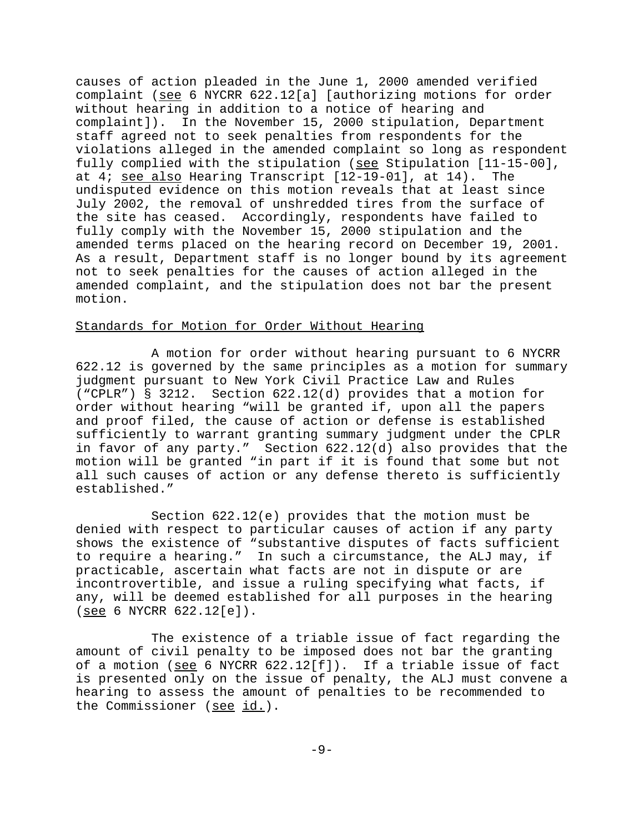causes of action pleaded in the June 1, 2000 amended verified complaint (see 6 NYCRR 622.12[a] [authorizing motions for order without hearing in addition to a notice of hearing and complaint]). In the November 15, 2000 stipulation, Department staff agreed not to seek penalties from respondents for the violations alleged in the amended complaint so long as respondent fully complied with the stipulation (see Stipulation [11-15-00], at 4; see also Hearing Transcript [12-19-01], at 14). The undisputed evidence on this motion reveals that at least since July 2002, the removal of unshredded tires from the surface of the site has ceased. Accordingly, respondents have failed to fully comply with the November 15, 2000 stipulation and the amended terms placed on the hearing record on December 19, 2001. As a result, Department staff is no longer bound by its agreement not to seek penalties for the causes of action alleged in the amended complaint, and the stipulation does not bar the present motion.

### Standards for Motion for Order Without Hearing

A motion for order without hearing pursuant to 6 NYCRR 622.12 is governed by the same principles as a motion for summary judgment pursuant to New York Civil Practice Law and Rules ("CPLR") § 3212. Section 622.12(d) provides that a motion for order without hearing "will be granted if, upon all the papers and proof filed, the cause of action or defense is established sufficiently to warrant granting summary judgment under the CPLR in favor of any party." Section 622.12(d) also provides that the motion will be granted "in part if it is found that some but not all such causes of action or any defense thereto is sufficiently established."

Section 622.12(e) provides that the motion must be denied with respect to particular causes of action if any party shows the existence of "substantive disputes of facts sufficient to require a hearing." In such a circumstance, the ALJ may, if practicable, ascertain what facts are not in dispute or are incontrovertible, and issue a ruling specifying what facts, if any, will be deemed established for all purposes in the hearing (see 6 NYCRR 622.12[e]).

The existence of a triable issue of fact regarding the amount of civil penalty to be imposed does not bar the granting of a motion (see 6 NYCRR 622.12[f]). If a triable issue of fact is presented only on the issue of penalty, the ALJ must convene a hearing to assess the amount of penalties to be recommended to the Commissioner (see id.).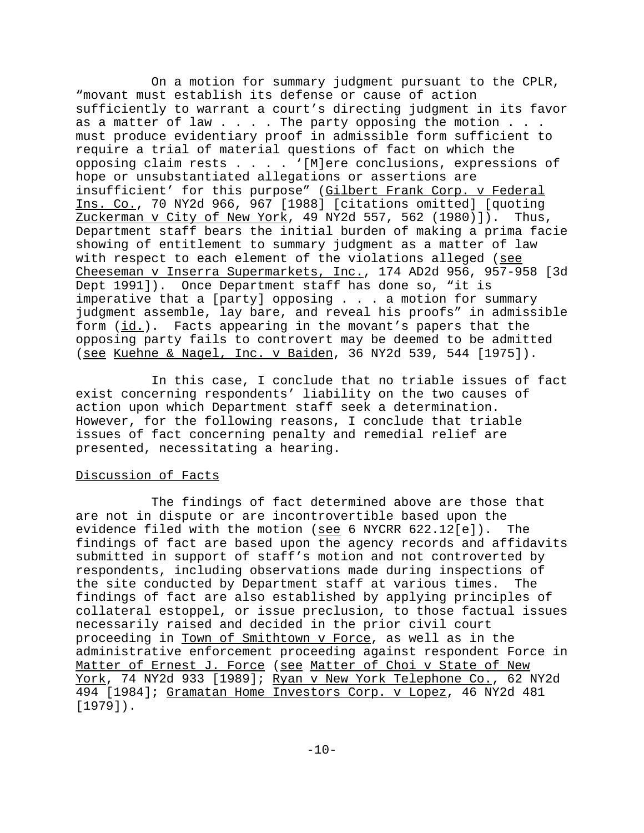On a motion for summary judgment pursuant to the CPLR, "movant must establish its defense or cause of action sufficiently to warrant a court's directing judgment in its favor as a matter of law  $\ldots$  . The party opposing the motion  $\ldots$ . must produce evidentiary proof in admissible form sufficient to require a trial of material questions of fact on which the opposing claim rests . . . . '[M]ere conclusions, expressions of hope or unsubstantiated allegations or assertions are insufficient' for this purpose" (Gilbert Frank Corp. v Federal Ins. Co., 70 NY2d 966, 967 [1988] [citations omitted] [quoting Zuckerman v City of New York, 49 NY2d 557, 562 (1980)]). Thus, Department staff bears the initial burden of making a prima facie showing of entitlement to summary judgment as a matter of law with respect to each element of the violations alleged (see Cheeseman v Inserra Supermarkets, Inc., 174 AD2d 956, 957-958 [3d Dept 1991]). Once Department staff has done so, "it is imperative that a [party] opposing . . . a motion for summary judgment assemble, lay bare, and reveal his proofs" in admissible form (id.). Facts appearing in the movant's papers that the opposing party fails to controvert may be deemed to be admitted (see Kuehne & Nagel, Inc. v Baiden, 36 NY2d 539, 544 [1975]).

In this case, I conclude that no triable issues of fact exist concerning respondents' liability on the two causes of action upon which Department staff seek a determination. However, for the following reasons, I conclude that triable issues of fact concerning penalty and remedial relief are presented, necessitating a hearing.

## Discussion of Facts

The findings of fact determined above are those that are not in dispute or are incontrovertible based upon the evidence filed with the motion (see 6 NYCRR 622.12[e]). The findings of fact are based upon the agency records and affidavits submitted in support of staff's motion and not controverted by respondents, including observations made during inspections of the site conducted by Department staff at various times. The findings of fact are also established by applying principles of collateral estoppel, or issue preclusion, to those factual issues necessarily raised and decided in the prior civil court proceeding in Town of Smithtown v Force, as well as in the administrative enforcement proceeding against respondent Force in Matter of Ernest J. Force (see Matter of Choi v State of New York, 74 NY2d 933 [1989]; Ryan v New York Telephone Co., 62 NY2d 494 [1984]; Gramatan Home Investors Corp. v Lopez, 46 NY2d 481 [1979]).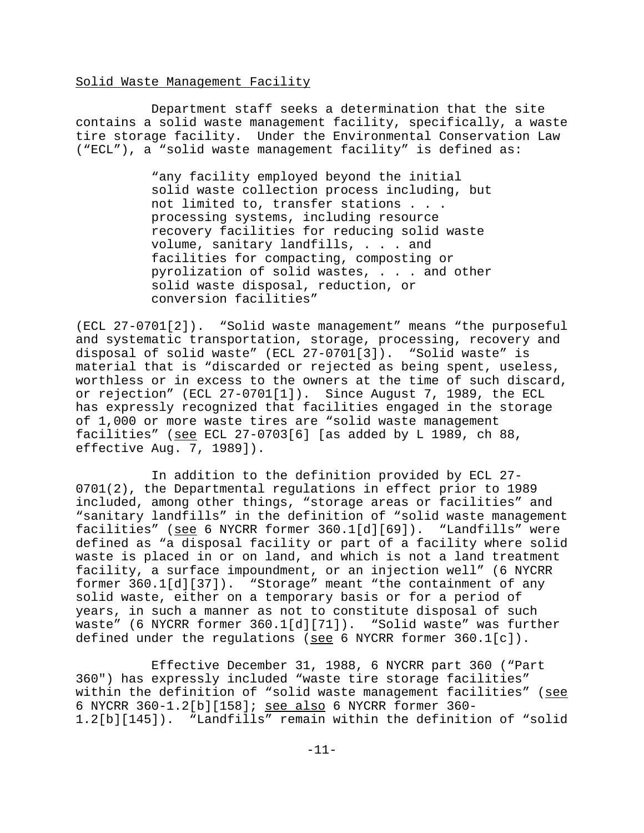### Solid Waste Management Facility

Department staff seeks a determination that the site contains a solid waste management facility, specifically, a waste tire storage facility. Under the Environmental Conservation Law ("ECL"), a "solid waste management facility" is defined as:

> "any facility employed beyond the initial solid waste collection process including, but not limited to, transfer stations . . . processing systems, including resource recovery facilities for reducing solid waste volume, sanitary landfills, . . . and facilities for compacting, composting or pyrolization of solid wastes, . . . and other solid waste disposal, reduction, or conversion facilities"

(ECL 27-0701[2]). "Solid waste management" means "the purposeful and systematic transportation, storage, processing, recovery and disposal of solid waste" (ECL 27-0701[3]). "Solid waste" is material that is "discarded or rejected as being spent, useless, worthless or in excess to the owners at the time of such discard, or rejection" (ECL 27-0701[1]). Since August 7, 1989, the ECL has expressly recognized that facilities engaged in the storage of 1,000 or more waste tires are "solid waste management facilities" (see ECL 27-0703[6] [as added by L 1989, ch 88, effective Aug. 7, 1989]).

In addition to the definition provided by ECL 27- 0701(2), the Departmental regulations in effect prior to 1989 included, among other things, "storage areas or facilities" and "sanitary landfills" in the definition of "solid waste management facilities" (see 6 NYCRR former 360.1[d][69]). "Landfills" were defined as "a disposal facility or part of a facility where solid waste is placed in or on land, and which is not a land treatment facility, a surface impoundment, or an injection well" (6 NYCRR former 360.1[d][37]). "Storage" meant "the containment of any solid waste, either on a temporary basis or for a period of years, in such a manner as not to constitute disposal of such waste" (6 NYCRR former 360.1[d][71]). "Solid waste" was further defined under the regulations (see 6 NYCRR former  $360.1[c]$ ).

Effective December 31, 1988, 6 NYCRR part 360 ("Part 360") has expressly included "waste tire storage facilities" within the definition of "solid waste management facilities" (see 6 NYCRR 360-1.2[b][158]; see also 6 NYCRR former 360- 1.2[b][145]). "Landfills" remain within the definition of "solid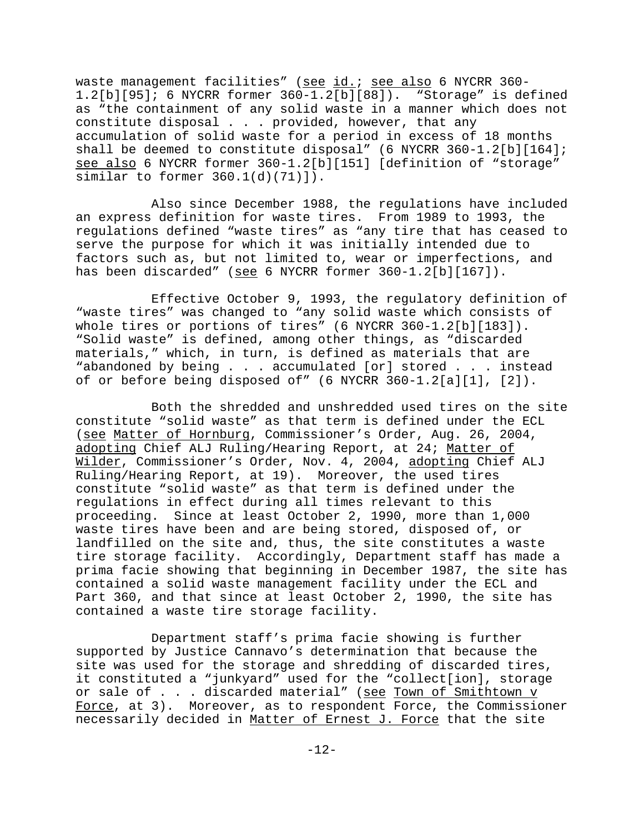waste management facilities" (see id.; see also 6 NYCRR 360- 1.2[b][95]; 6 NYCRR former 360-1.2[b][88]). "Storage" is defined as "the containment of any solid waste in a manner which does not constitute disposal . . . provided, however, that any accumulation of solid waste for a period in excess of 18 months shall be deemed to constitute disposal" (6 NYCRR 360-1.2[b][164]; see also 6 NYCRR former 360-1.2[b][151] [definition of "storage" similar to former 360.1(d)(71)]).

Also since December 1988, the regulations have included an express definition for waste tires. From 1989 to 1993, the regulations defined "waste tires" as "any tire that has ceased to serve the purpose for which it was initially intended due to factors such as, but not limited to, wear or imperfections, and has been discarded" (see 6 NYCRR former 360-1.2[b][167]).

Effective October 9, 1993, the regulatory definition of "waste tires" was changed to "any solid waste which consists of whole tires or portions of tires" (6 NYCRR 360-1.2[b][183]). "Solid waste" is defined, among other things, as "discarded materials," which, in turn, is defined as materials that are "abandoned by being . . . accumulated [or] stored . . . instead of or before being disposed of" (6 NYCRR 360-1.2[a][1], [2]).

Both the shredded and unshredded used tires on the site constitute "solid waste" as that term is defined under the ECL (see Matter of Hornburg, Commissioner's Order, Aug. 26, 2004, adopting Chief ALJ Ruling/Hearing Report, at 24; Matter of Wilder, Commissioner's Order, Nov. 4, 2004, adopting Chief ALJ Ruling/Hearing Report, at 19). Moreover, the used tires constitute "solid waste" as that term is defined under the regulations in effect during all times relevant to this proceeding. Since at least October 2, 1990, more than 1,000 waste tires have been and are being stored, disposed of, or landfilled on the site and, thus, the site constitutes a waste tire storage facility. Accordingly, Department staff has made a prima facie showing that beginning in December 1987, the site has contained a solid waste management facility under the ECL and Part 360, and that since at least October 2, 1990, the site has contained a waste tire storage facility.

Department staff's prima facie showing is further supported by Justice Cannavo's determination that because the site was used for the storage and shredding of discarded tires, it constituted a "junkyard" used for the "collect[ion], storage or sale of . . . discarded material" (see Town of Smithtown v Force, at 3). Moreover, as to respondent Force, the Commissioner necessarily decided in Matter of Ernest J. Force that the site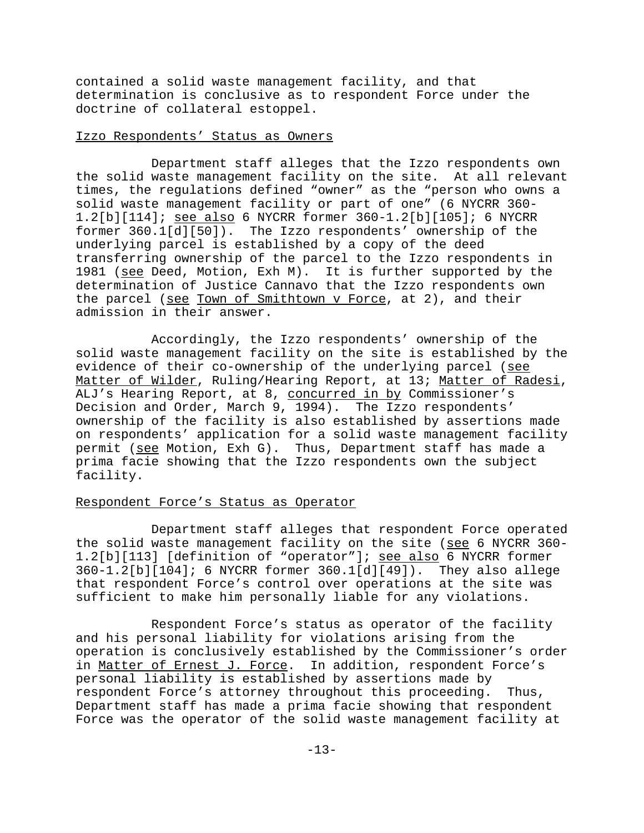contained a solid waste management facility, and that determination is conclusive as to respondent Force under the doctrine of collateral estoppel.

## Izzo Respondents' Status as Owners

Department staff alleges that the Izzo respondents own the solid waste management facility on the site. At all relevant times, the regulations defined "owner" as the "person who owns a solid waste management facility or part of one" (6 NYCRR 360- 1.2[b][114]; see also 6 NYCRR former 360-1.2[b][105]; 6 NYCRR former 360.1[d][50]). The Izzo respondents' ownership of the underlying parcel is established by a copy of the deed transferring ownership of the parcel to the Izzo respondents in 1981 (see Deed, Motion, Exh M). It is further supported by the determination of Justice Cannavo that the Izzo respondents own the parcel (see Town of Smithtown v Force, at 2), and their admission in their answer.

Accordingly, the Izzo respondents' ownership of the solid waste management facility on the site is established by the evidence of their co-ownership of the underlying parcel (see Matter of Wilder, Ruling/Hearing Report, at 13; Matter of Radesi, ALJ's Hearing Report, at 8, concurred in by Commissioner's Decision and Order, March 9, 1994). The Izzo respondents' ownership of the facility is also established by assertions made on respondents' application for a solid waste management facility permit (see Motion, Exh G). Thus, Department staff has made a prima facie showing that the Izzo respondents own the subject facility.

## Respondent Force's Status as Operator

Department staff alleges that respondent Force operated the solid waste management facility on the site (see 6 NYCRR 360-1.2[b][113] [definition of "operator"]; see also 6 NYCRR former 360-1.2[b][104]; 6 NYCRR former 360.1[d][49]). They also allege that respondent Force's control over operations at the site was sufficient to make him personally liable for any violations.

Respondent Force's status as operator of the facility and his personal liability for violations arising from the operation is conclusively established by the Commissioner's order in Matter of Ernest J. Force. In addition, respondent Force's personal liability is established by assertions made by respondent Force's attorney throughout this proceeding. Thus, Department staff has made a prima facie showing that respondent Force was the operator of the solid waste management facility at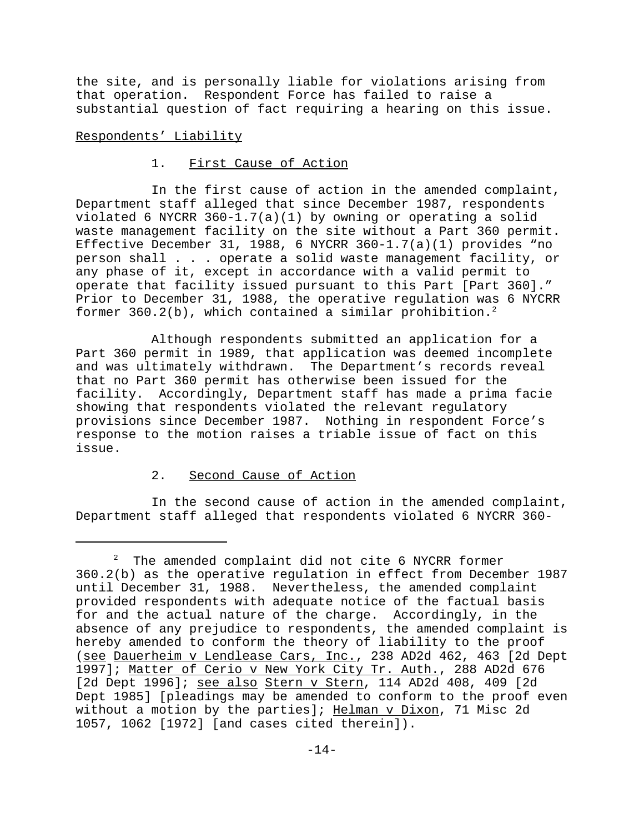the site, and is personally liable for violations arising from that operation. Respondent Force has failed to raise a substantial question of fact requiring a hearing on this issue.

## Respondents' Liability

## 1. First Cause of Action

In the first cause of action in the amended complaint, Department staff alleged that since December 1987, respondents violated 6 NYCRR 360-1.7(a)(1) by owning or operating a solid waste management facility on the site without a Part 360 permit. Effective December 31, 1988, 6 NYCRR 360-1.7(a)(1) provides "no person shall . . . operate a solid waste management facility, or any phase of it, except in accordance with a valid permit to operate that facility issued pursuant to this Part [Part 360]." Prior to December 31, 1988, the operative regulation was 6 NYCRR former  $360.2(b)$ , which contained a similar prohibition.<sup>2</sup>

Although respondents submitted an application for a Part 360 permit in 1989, that application was deemed incomplete and was ultimately withdrawn. The Department's records reveal that no Part 360 permit has otherwise been issued for the facility. Accordingly, Department staff has made a prima facie showing that respondents violated the relevant regulatory provisions since December 1987. Nothing in respondent Force's response to the motion raises a triable issue of fact on this issue.

# 2. Second Cause of Action

In the second cause of action in the amended complaint, Department staff alleged that respondents violated 6 NYCRR 360-

<sup>2</sup> The amended complaint did not cite 6 NYCRR former 360.2(b) as the operative regulation in effect from December 1987 until December 31, 1988. Nevertheless, the amended complaint provided respondents with adequate notice of the factual basis for and the actual nature of the charge. Accordingly, in the absence of any prejudice to respondents, the amended complaint is hereby amended to conform the theory of liability to the proof (see Dauerheim v Lendlease Cars, Inc., 238 AD2d 462, 463 [2d Dept 1997]; Matter of Cerio v New York City Tr. Auth., 288 AD2d 676 [2d Dept 1996]; see also Stern v Stern, 114 AD2d 408, 409 [2d Dept 1985] [pleadings may be amended to conform to the proof even without a motion by the parties]; Helman v Dixon, 71 Misc 2d 1057, 1062 [1972] [and cases cited therein]).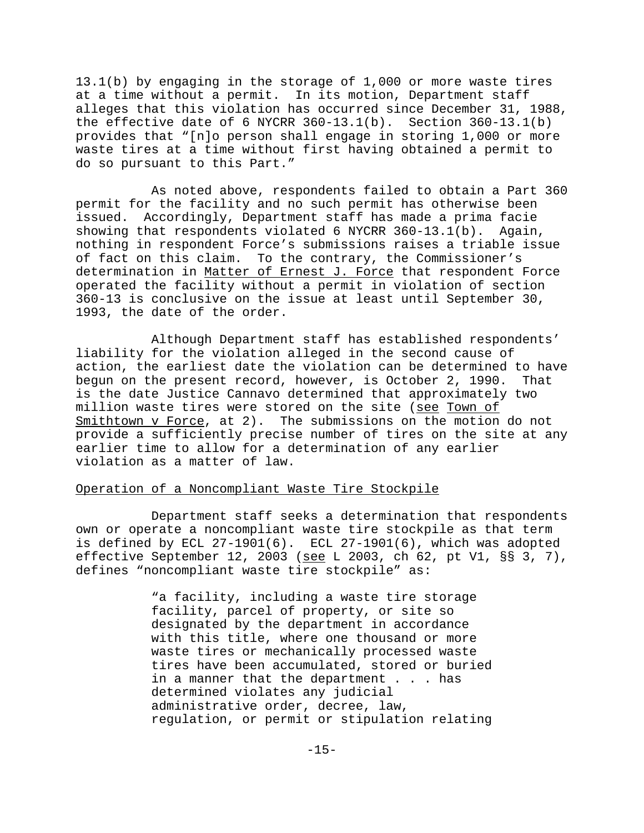13.1(b) by engaging in the storage of 1,000 or more waste tires at a time without a permit. In its motion, Department staff alleges that this violation has occurred since December 31, 1988, the effective date of 6 NYCRR  $360-13.1(b)$ . Section  $360-13.1(b)$ provides that "[n]o person shall engage in storing 1,000 or more waste tires at a time without first having obtained a permit to do so pursuant to this Part."

As noted above, respondents failed to obtain a Part 360 permit for the facility and no such permit has otherwise been issued. Accordingly, Department staff has made a prima facie showing that respondents violated 6 NYCRR 360-13.1(b). Again, nothing in respondent Force's submissions raises a triable issue of fact on this claim. To the contrary, the Commissioner's determination in Matter of Ernest J. Force that respondent Force operated the facility without a permit in violation of section 360-13 is conclusive on the issue at least until September 30, 1993, the date of the order.

Although Department staff has established respondents' liability for the violation alleged in the second cause of action, the earliest date the violation can be determined to have begun on the present record, however, is October 2, 1990. That is the date Justice Cannavo determined that approximately two million waste tires were stored on the site (see Town of Smithtown v Force, at 2). The submissions on the motion do not provide a sufficiently precise number of tires on the site at any earlier time to allow for a determination of any earlier violation as a matter of law.

### Operation of a Noncompliant Waste Tire Stockpile

Department staff seeks a determination that respondents own or operate a noncompliant waste tire stockpile as that term is defined by ECL 27-1901(6). ECL 27-1901(6), which was adopted effective September 12, 2003 (see L 2003, ch 62, pt V1, §§ 3, 7), defines "noncompliant waste tire stockpile" as:

> "a facility, including a waste tire storage facility, parcel of property, or site so designated by the department in accordance with this title, where one thousand or more waste tires or mechanically processed waste tires have been accumulated, stored or buried in a manner that the department . . . has determined violates any judicial administrative order, decree, law, regulation, or permit or stipulation relating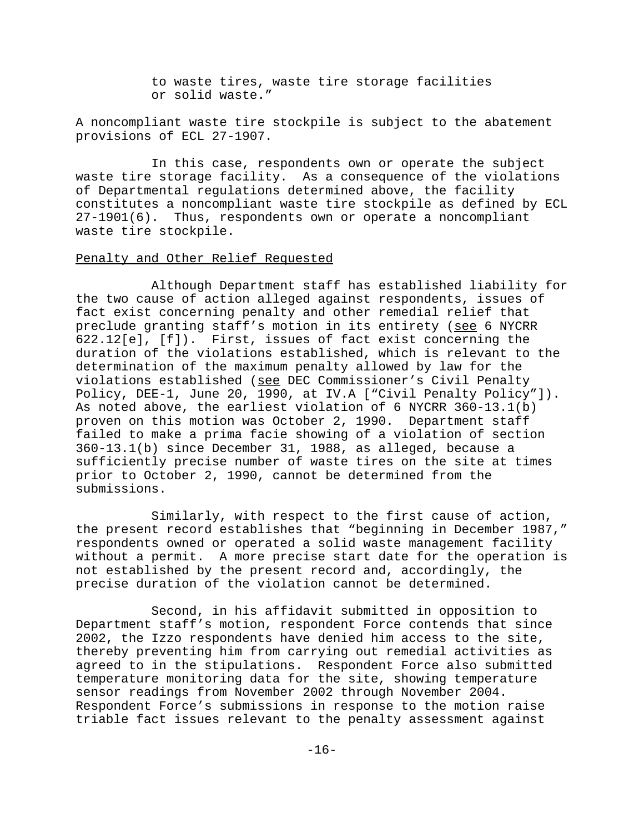to waste tires, waste tire storage facilities or solid waste."

A noncompliant waste tire stockpile is subject to the abatement provisions of ECL 27-1907.

In this case, respondents own or operate the subject waste tire storage facility. As a consequence of the violations of Departmental regulations determined above, the facility constitutes a noncompliant waste tire stockpile as defined by ECL 27-1901(6). Thus, respondents own or operate a noncompliant waste tire stockpile.

## Penalty and Other Relief Requested

Although Department staff has established liability for the two cause of action alleged against respondents, issues of fact exist concerning penalty and other remedial relief that preclude granting staff's motion in its entirety (see 6 NYCRR 622.12[e], [f]). First, issues of fact exist concerning the duration of the violations established, which is relevant to the determination of the maximum penalty allowed by law for the violations established (see DEC Commissioner's Civil Penalty Policy, DEE-1, June 20, 1990, at IV.A ["Civil Penalty Policy"]). As noted above, the earliest violation of 6 NYCRR 360-13.1(b) proven on this motion was October 2, 1990. Department staff failed to make a prima facie showing of a violation of section 360-13.1(b) since December 31, 1988, as alleged, because a sufficiently precise number of waste tires on the site at times prior to October 2, 1990, cannot be determined from the submissions.

Similarly, with respect to the first cause of action, the present record establishes that "beginning in December 1987," respondents owned or operated a solid waste management facility without a permit. A more precise start date for the operation is not established by the present record and, accordingly, the precise duration of the violation cannot be determined.

Second, in his affidavit submitted in opposition to Department staff's motion, respondent Force contends that since 2002, the Izzo respondents have denied him access to the site, thereby preventing him from carrying out remedial activities as agreed to in the stipulations. Respondent Force also submitted temperature monitoring data for the site, showing temperature sensor readings from November 2002 through November 2004. Respondent Force's submissions in response to the motion raise triable fact issues relevant to the penalty assessment against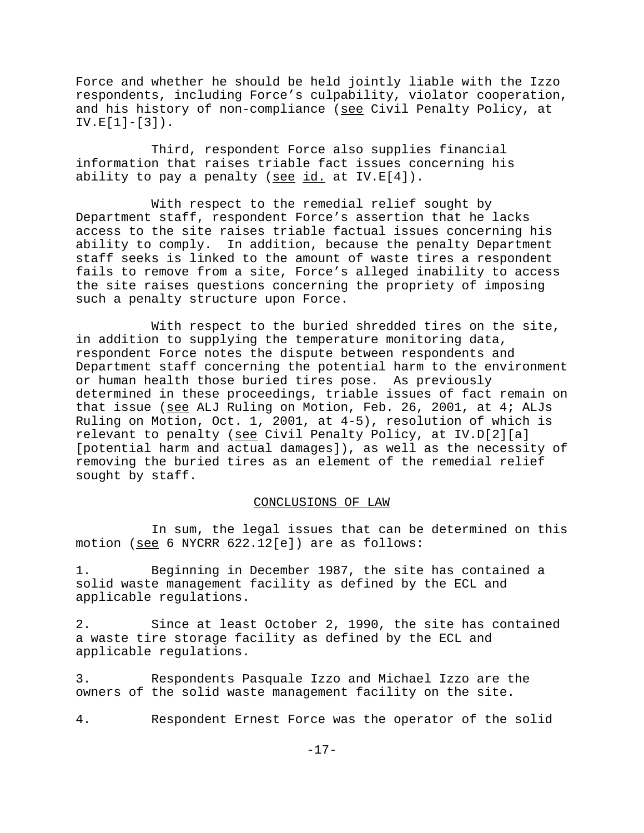Force and whether he should be held jointly liable with the Izzo respondents, including Force's culpability, violator cooperation, and his history of non-compliance (see Civil Penalty Policy, at  $IV.E[1]-[3])$ .

Third, respondent Force also supplies financial information that raises triable fact issues concerning his ability to pay a penalty (see id. at IV.E[4]).

With respect to the remedial relief sought by Department staff, respondent Force's assertion that he lacks access to the site raises triable factual issues concerning his ability to comply. In addition, because the penalty Department staff seeks is linked to the amount of waste tires a respondent fails to remove from a site, Force's alleged inability to access the site raises questions concerning the propriety of imposing such a penalty structure upon Force.

With respect to the buried shredded tires on the site, in addition to supplying the temperature monitoring data, respondent Force notes the dispute between respondents and Department staff concerning the potential harm to the environment or human health those buried tires pose. As previously determined in these proceedings, triable issues of fact remain on that issue (see ALJ Ruling on Motion, Feb. 26, 2001, at 4; ALJs Ruling on Motion, Oct. 1, 2001, at 4-5), resolution of which is relevant to penalty (see Civil Penalty Policy, at IV.D[2][a] [potential harm and actual damages]), as well as the necessity of removing the buried tires as an element of the remedial relief sought by staff.

### CONCLUSIONS OF LAW

In sum, the legal issues that can be determined on this motion (see 6 NYCRR 622.12[e]) are as follows:

1. Beginning in December 1987, the site has contained a solid waste management facility as defined by the ECL and applicable regulations.

2. Since at least October 2, 1990, the site has contained a waste tire storage facility as defined by the ECL and applicable regulations.

3. Respondents Pasquale Izzo and Michael Izzo are the owners of the solid waste management facility on the site.

4. Respondent Ernest Force was the operator of the solid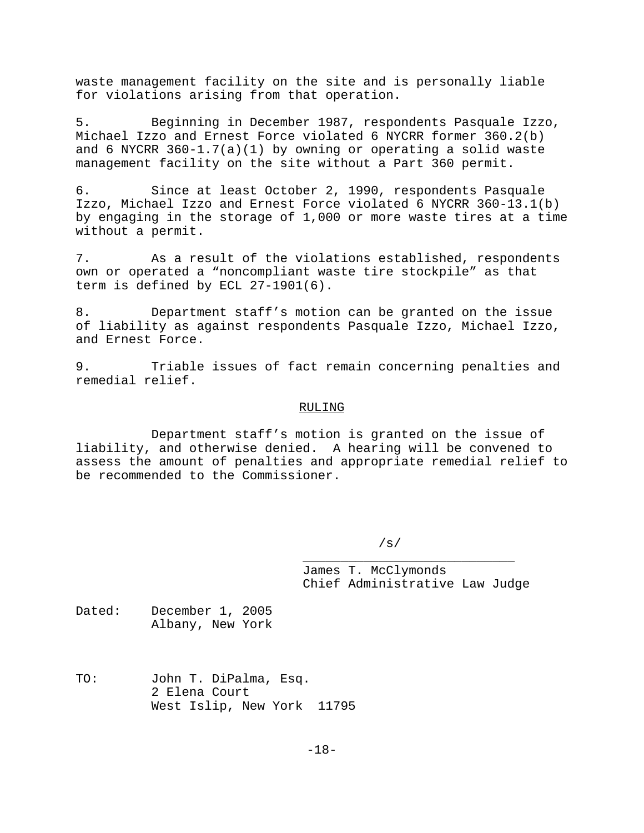waste management facility on the site and is personally liable for violations arising from that operation.

5. Beginning in December 1987, respondents Pasquale Izzo, Michael Izzo and Ernest Force violated 6 NYCRR former 360.2(b) and 6 NYCRR 360-1.7(a)(1) by owning or operating a solid waste management facility on the site without a Part 360 permit.

6. Since at least October 2, 1990, respondents Pasquale Izzo, Michael Izzo and Ernest Force violated 6 NYCRR 360-13.1(b) by engaging in the storage of 1,000 or more waste tires at a time without a permit.

7. As a result of the violations established, respondents own or operated a "noncompliant waste tire stockpile" as that term is defined by ECL 27-1901(6).

8. Department staff's motion can be granted on the issue of liability as against respondents Pasquale Izzo, Michael Izzo, and Ernest Force.

9. Triable issues of fact remain concerning penalties and remedial relief.

#### RULING

Department staff's motion is granted on the issue of liability, and otherwise denied. A hearing will be convened to assess the amount of penalties and appropriate remedial relief to be recommended to the Commissioner.

/s/

James T. McClymonds Chief Administrative Law Judge

\_\_\_\_\_\_\_\_\_\_\_\_\_\_\_\_\_\_\_\_\_\_\_\_\_\_\_\_

Dated: December 1, 2005 Albany, New York

TO: John T. DiPalma, Esq. 2 Elena Court West Islip, New York 11795